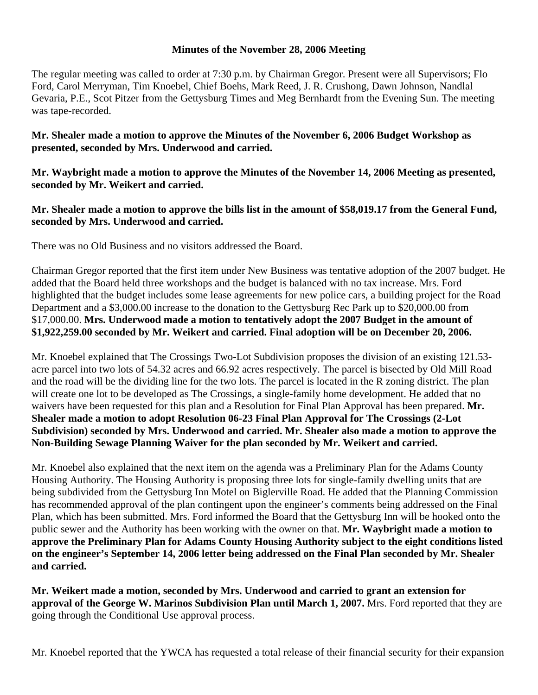## **Minutes of the November 28, 2006 Meeting**

The regular meeting was called to order at 7:30 p.m. by Chairman Gregor. Present were all Supervisors; Flo Ford, Carol Merryman, Tim Knoebel, Chief Boehs, Mark Reed, J. R. Crushong, Dawn Johnson, Nandlal Gevaria, P.E., Scot Pitzer from the Gettysburg Times and Meg Bernhardt from the Evening Sun. The meeting was tape-recorded.

## **Mr. Shealer made a motion to approve the Minutes of the November 6, 2006 Budget Workshop as presented, seconded by Mrs. Underwood and carried.**

**Mr. Waybright made a motion to approve the Minutes of the November 14, 2006 Meeting as presented, seconded by Mr. Weikert and carried.** 

## **Mr. Shealer made a motion to approve the bills list in the amount of \$58,019.17 from the General Fund, seconded by Mrs. Underwood and carried.**

There was no Old Business and no visitors addressed the Board.

Chairman Gregor reported that the first item under New Business was tentative adoption of the 2007 budget. He added that the Board held three workshops and the budget is balanced with no tax increase. Mrs. Ford highlighted that the budget includes some lease agreements for new police cars, a building project for the Road Department and a \$3,000.00 increase to the donation to the Gettysburg Rec Park up to \$20,000.00 from \$17,000.00. **Mrs. Underwood made a motion to tentatively adopt the 2007 Budget in the amount of \$1,922,259.00 seconded by Mr. Weikert and carried. Final adoption will be on December 20, 2006.** 

Mr. Knoebel explained that The Crossings Two-Lot Subdivision proposes the division of an existing 121.53 acre parcel into two lots of 54.32 acres and 66.92 acres respectively. The parcel is bisected by Old Mill Road and the road will be the dividing line for the two lots. The parcel is located in the R zoning district. The plan will create one lot to be developed as The Crossings, a single-family home development. He added that no waivers have been requested for this plan and a Resolution for Final Plan Approval has been prepared. **Mr. Shealer made a motion to adopt Resolution 06-23 Final Plan Approval for The Crossings (2-Lot Subdivision) seconded by Mrs. Underwood and carried. Mr. Shealer also made a motion to approve the Non-Building Sewage Planning Waiver for the plan seconded by Mr. Weikert and carried.** 

Mr. Knoebel also explained that the next item on the agenda was a Preliminary Plan for the Adams County Housing Authority. The Housing Authority is proposing three lots for single-family dwelling units that are being subdivided from the Gettysburg Inn Motel on Biglerville Road. He added that the Planning Commission has recommended approval of the plan contingent upon the engineer's comments being addressed on the Final Plan, which has been submitted. Mrs. Ford informed the Board that the Gettysburg Inn will be hooked onto the public sewer and the Authority has been working with the owner on that. **Mr. Waybright made a motion to approve the Preliminary Plan for Adams County Housing Authority subject to the eight conditions listed on the engineer's September 14, 2006 letter being addressed on the Final Plan seconded by Mr. Shealer and carried.** 

**Mr. Weikert made a motion, seconded by Mrs. Underwood and carried to grant an extension for approval of the George W. Marinos Subdivision Plan until March 1, 2007.** Mrs. Ford reported that they are going through the Conditional Use approval process.

Mr. Knoebel reported that the YWCA has requested a total release of their financial security for their expansion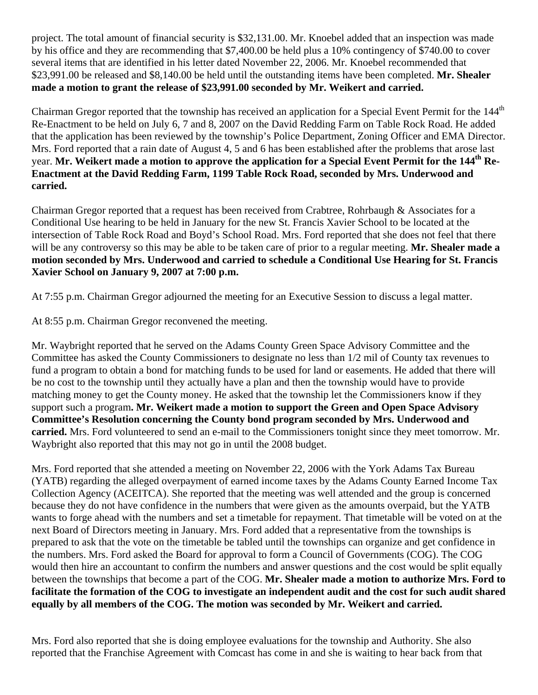project. The total amount of financial security is \$32,131.00. Mr. Knoebel added that an inspection was made by his office and they are recommending that \$7,400.00 be held plus a 10% contingency of \$740.00 to cover several items that are identified in his letter dated November 22, 2006. Mr. Knoebel recommended that \$23,991.00 be released and \$8,140.00 be held until the outstanding items have been completed. **Mr. Shealer made a motion to grant the release of \$23,991.00 seconded by Mr. Weikert and carried.** 

Chairman Gregor reported that the township has received an application for a Special Event Permit for the 144<sup>th</sup> Re-Enactment to be held on July 6, 7 and 8, 2007 on the David Redding Farm on Table Rock Road. He added that the application has been reviewed by the township's Police Department, Zoning Officer and EMA Director. Mrs. Ford reported that a rain date of August 4, 5 and 6 has been established after the problems that arose last year. **Mr. Weikert made a motion to approve the application for a Special Event Permit for the 144th Re-Enactment at the David Redding Farm, 1199 Table Rock Road, seconded by Mrs. Underwood and carried.** 

Chairman Gregor reported that a request has been received from Crabtree, Rohrbaugh & Associates for a Conditional Use hearing to be held in January for the new St. Francis Xavier School to be located at the intersection of Table Rock Road and Boyd's School Road. Mrs. Ford reported that she does not feel that there will be any controversy so this may be able to be taken care of prior to a regular meeting. **Mr. Shealer made a motion seconded by Mrs. Underwood and carried to schedule a Conditional Use Hearing for St. Francis Xavier School on January 9, 2007 at 7:00 p.m.** 

At 7:55 p.m. Chairman Gregor adjourned the meeting for an Executive Session to discuss a legal matter.

At 8:55 p.m. Chairman Gregor reconvened the meeting.

Mr. Waybright reported that he served on the Adams County Green Space Advisory Committee and the Committee has asked the County Commissioners to designate no less than 1/2 mil of County tax revenues to fund a program to obtain a bond for matching funds to be used for land or easements. He added that there will be no cost to the township until they actually have a plan and then the township would have to provide matching money to get the County money. He asked that the township let the Commissioners know if they support such a program**. Mr. Weikert made a motion to support the Green and Open Space Advisory Committee's Resolution concerning the County bond program seconded by Mrs. Underwood and carried.** Mrs. Ford volunteered to send an e-mail to the Commissioners tonight since they meet tomorrow. Mr. Waybright also reported that this may not go in until the 2008 budget.

Mrs. Ford reported that she attended a meeting on November 22, 2006 with the York Adams Tax Bureau (YATB) regarding the alleged overpayment of earned income taxes by the Adams County Earned Income Tax Collection Agency (ACEITCA). She reported that the meeting was well attended and the group is concerned because they do not have confidence in the numbers that were given as the amounts overpaid, but the YATB wants to forge ahead with the numbers and set a timetable for repayment. That timetable will be voted on at the next Board of Directors meeting in January. Mrs. Ford added that a representative from the townships is prepared to ask that the vote on the timetable be tabled until the townships can organize and get confidence in the numbers. Mrs. Ford asked the Board for approval to form a Council of Governments (COG). The COG would then hire an accountant to confirm the numbers and answer questions and the cost would be split equally between the townships that become a part of the COG. **Mr. Shealer made a motion to authorize Mrs. Ford to facilitate the formation of the COG to investigate an independent audit and the cost for such audit shared equally by all members of the COG. The motion was seconded by Mr. Weikert and carried.** 

Mrs. Ford also reported that she is doing employee evaluations for the township and Authority. She also reported that the Franchise Agreement with Comcast has come in and she is waiting to hear back from that